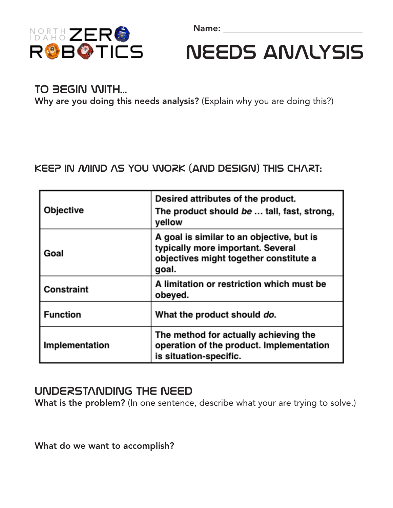Name: \_\_\_\_\_\_\_\_\_\_\_\_\_\_\_\_\_\_\_\_\_\_\_\_\_\_\_\_\_\_\_



Needs anAlysis

## TO BEGIN WITH...

Why are you doing this needs analysis? (Explain why you are doing this?)

## KEEP IN MIND AS YOU WORK (and design) THIS CHART:

| Objective       | Desired attributes of the product.<br>The product should be  tall, fast, strong,<br>yellow                                        |
|-----------------|-----------------------------------------------------------------------------------------------------------------------------------|
| Goal            | A goal is similar to an objective, but is<br>typically more important. Several<br>objectives might together constitute a<br>goal. |
| Constraint      | A limitation or restriction which must be<br>obeyed.                                                                              |
| <b>Function</b> | What the product should do.                                                                                                       |
| Implementation  | The method for actually achieving the<br>operation of the product. Implementation<br>is situation-specific.                       |

## UNDERSTANDING THE NEED

What is the problem? (In one sentence, describe what your are trying to solve.)

What do we want to accomplish?